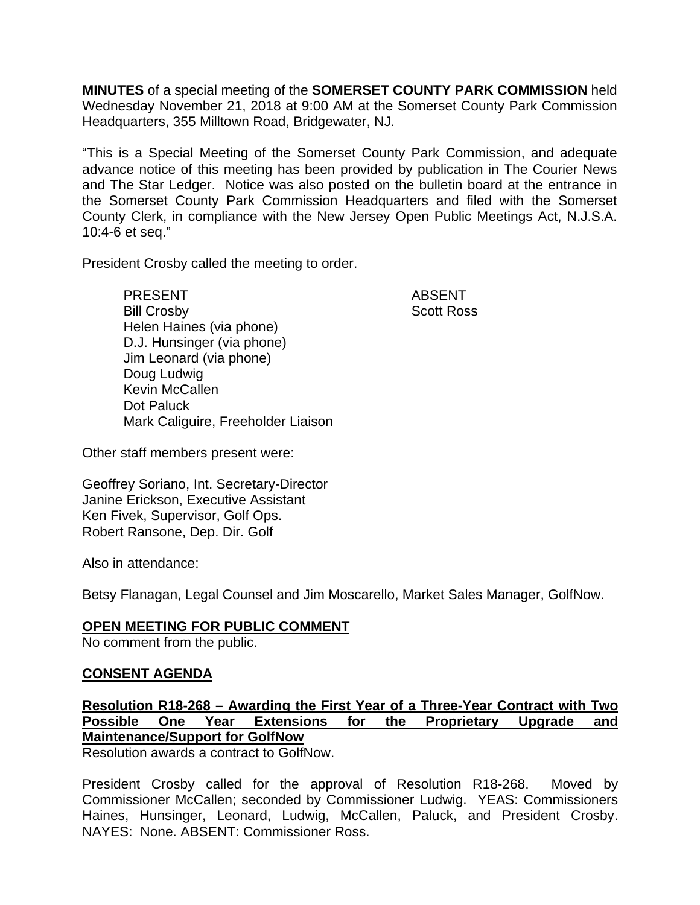**MINUTES** of a special meeting of the **SOMERSET COUNTY PARK COMMISSION** held Wednesday November 21, 2018 at 9:00 AM at the Somerset County Park Commission Headquarters, 355 Milltown Road, Bridgewater, NJ.

"This is a Special Meeting of the Somerset County Park Commission, and adequate advance notice of this meeting has been provided by publication in The Courier News and The Star Ledger. Notice was also posted on the bulletin board at the entrance in the Somerset County Park Commission Headquarters and filed with the Somerset County Clerk, in compliance with the New Jersey Open Public Meetings Act, N.J.S.A. 10:4-6 et seq."

President Crosby called the meeting to order.

PRESENT ABSENT Bill Crosby Scott Ross Helen Haines (via phone) D.J. Hunsinger (via phone) Jim Leonard (via phone) Doug Ludwig Kevin McCallen Dot Paluck Mark Caliguire, Freeholder Liaison

Other staff members present were:

Geoffrey Soriano, Int. Secretary-Director Janine Erickson, Executive Assistant Ken Fivek, Supervisor, Golf Ops. Robert Ransone, Dep. Dir. Golf

Also in attendance:

Betsy Flanagan, Legal Counsel and Jim Moscarello, Market Sales Manager, GolfNow.

## **OPEN MEETING FOR PUBLIC COMMENT**

No comment from the public.

## **CONSENT AGENDA**

**Resolution R18-268 – Awarding the First Year of a Three-Year Contract with Two Possible One Year Extensions for the Proprietary Upgrade and Maintenance/Support for GolfNow** 

Resolution awards a contract to GolfNow.

President Crosby called for the approval of Resolution R18-268. Moved by Commissioner McCallen; seconded by Commissioner Ludwig. YEAS: Commissioners Haines, Hunsinger, Leonard, Ludwig, McCallen, Paluck, and President Crosby. NAYES: None. ABSENT: Commissioner Ross.